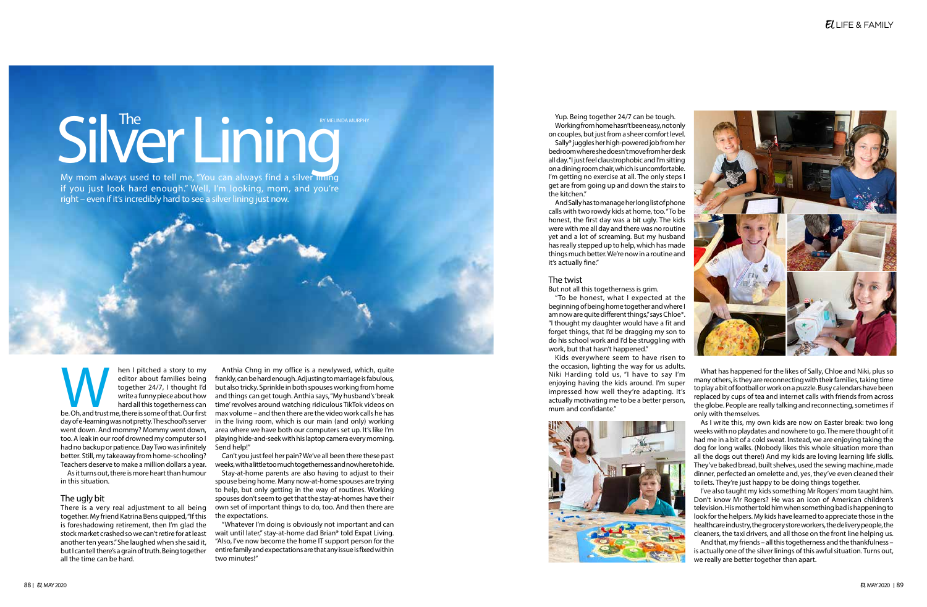# Silver Lining

My mom always used to tell me, "You can always find a silver liming if you just look hard enough." Well, I'm looking, mom, and you're right – even if it's incredibly hard to see a silver lining just now.

hen I pitched a story to my<br>
editor about families being<br>
together 24/7, I thought I'd<br>
write a funny piece about how<br>
hard all this togetherness can<br>
be. Oh, and trust me, there is some of that. Our first editor about families being together 24/7, I thought I'd write a funny piece about how hard all this togetherness can day of e-learning was not pretty. The school's server went down. And mommy? Mommy went down, too. A leak in our roof drowned my computer so I had no backup or patience. Day Two was infinitely better. Still, my takeaway from home-schooling? Teachers deserve to make a million dollars a year.

As it turns out, there is more heart than humour in this situation.

## The ugly bit

There is a very real adjustment to all being together. My friend Katrina Bens quipped, "If this is foreshadowing retirement, then I'm glad the stock market crashed so we can't retire for at least another ten years." She laughed when she said it, but I can tell there's a grain of truth. Being together all the time can be hard.

Anthia Chng in my office is a newlywed, which, quite frankly, can be hard enough. Adjusting to marriage is fabulous, but also tricky. Sprinkle in both spouses working from home and things can get tough. Anthia says, "My husband's 'break time' revolves around watching ridiculous TikTok videos on max volume – and then there are the video work calls he has in the living room, which is our main (and only) working area where we have both our computers set up. It's like I'm playing hide-and-seek with his laptop camera every morning. Send help!"

Can't you just feel her pain? We've all been there these past weeks, with a little too much togetherness and nowhere to hide. Stay-at-home parents are also having to adjust to their spouse being home. Many now-at-home spouses are trying to help, but only getting in the way of routines. Working spouses don't seem to get that the stay-at-homes have their own set of important things to do, too. And then there are the expectations.

"Whatever I'm doing is obviously not important and can wait until later," stay-at-home dad Brian\* told Expat Living. "Also, I've now become the home IT support person for the entire family and expectations are that any issue is fixed within two minutes!"

Yup. Being together 24/7 can be tough. Working from home hasn't been easy, not only on couples, but just from a sheer comfort level. Sally\* juggles her high-powered job from her bedroom where she doesn't move from her desk all day. "I just feel claustrophobic and I'm sitting on a dining room chair, which is uncomfortable. I'm getting no exercise at all. The only steps I get are from going up and down the stairs to the kitchen."

And Sally has to manage her long list of phone calls with two rowdy kids at home, too. "To be honest, the first day was a bit ugly. The kids were with me all day and there was no routine yet and a lot of screaming. But my husband has really stepped up to help, which has made things much better. We're now in a routine and it's actually fine."

# The twist

But not all this togetherness is grim.

"To be honest, what I expected at the beginning of being home together and where I am now are quite different things," says Chloe\*. "I thought my daughter would have a fit and forget things, that I'd be dragging my son to do his school work and I'd be struggling with work, but that hasn't happened."

Kids everywhere seem to have risen to the occasion, lighting the way for us adults. Niki Harding told us, "I have to say I'm enjoying having the kids around. I'm super impressed how well they're adapting. It's actually motivating me to be a better person, mum and confidante."



What has happened for the likes of Sally, Chloe and Niki, plus so many others, is they are reconnecting with their families, taking time to play a bit of football or work on a puzzle. Busy calendars have been replaced by cups of tea and internet calls with friends from across the globe. People are really talking and reconnecting, sometimes if only with themselves.

As I write this, my own kids are now on Easter break: two long weeks with no playdates and nowhere to go. The mere thought of it had me in a bit of a cold sweat. Instead, we are enjoying taking the dog for long walks. (Nobody likes this whole situation more than all the dogs out there!) And my kids are loving learning life skills. They've baked bread, built shelves, used the sewing machine, made dinner, perfected an omelette and, yes, they've even cleaned their toilets. They're just happy to be doing things together.

I've also taught my kids something Mr Rogers' mom taught him. Don't know Mr Rogers? He was an icon of American children's television. His mother told him when something bad is happening to look for the helpers. My kids have learned to appreciate those in the healthcare industry, the grocery store workers, the delivery people, the cleaners, the taxi drivers, and all those on the front line helping us. And that, my friends – all this togetherness and the thankfulness – is actually one of the silver linings of this awful situation. Turns out, we really are better together than apart.

# $E$ LIFE & FAMILY